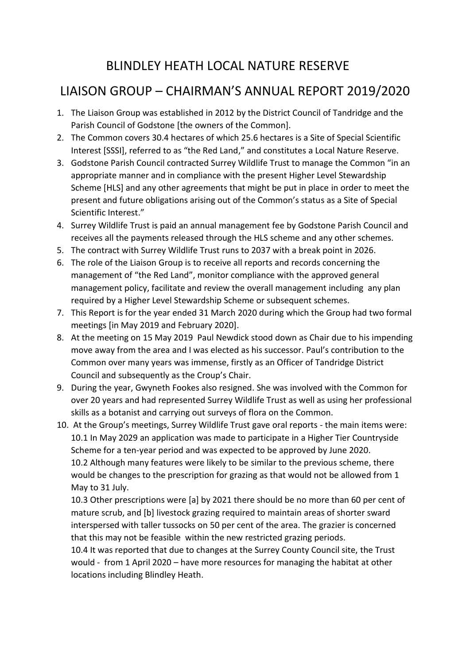## BLINDLEY HEATH LOCAL NATURE RESERVE

## LIAISON GROUP – CHAIRMAN'S ANNUAL REPORT 2019/2020

- 1. The Liaison Group was established in 2012 by the District Council of Tandridge and the Parish Council of Godstone [the owners of the Common].
- 2. The Common covers 30.4 hectares of which 25.6 hectares is a Site of Special Scientific Interest [SSSI], referred to as "the Red Land," and constitutes a Local Nature Reserve.
- 3. Godstone Parish Council contracted Surrey Wildlife Trust to manage the Common "in an appropriate manner and in compliance with the present Higher Level Stewardship Scheme [HLS] and any other agreements that might be put in place in order to meet the present and future obligations arising out of the Common's status as a Site of Special Scientific Interest."
- 4. Surrey Wildlife Trust is paid an annual management fee by Godstone Parish Council and receives all the payments released through the HLS scheme and any other schemes.
- 5. The contract with Surrey Wildlife Trust runs to 2037 with a break point in 2026.
- 6. The role of the Liaison Group is to receive all reports and records concerning the management of "the Red Land", monitor compliance with the approved general management policy, facilitate and review the overall management including any plan required by a Higher Level Stewardship Scheme or subsequent schemes.
- 7. This Report is for the year ended 31 March 2020 during which the Group had two formal meetings [in May 2019 and February 2020].
- 8. At the meeting on 15 May 2019 Paul Newdick stood down as Chair due to his impending move away from the area and I was elected as his successor. Paul's contribution to the Common over many years was immense, firstly as an Officer of Tandridge District Council and subsequently as the Croup's Chair.
- 9. During the year, Gwyneth Fookes also resigned. She was involved with the Common for over 20 years and had represented Surrey Wildlife Trust as well as using her professional skills as a botanist and carrying out surveys of flora on the Common.
- 10. At the Group's meetings, Surrey Wildlife Trust gave oral reports the main items were: 10.1 In May 2029 an application was made to participate in a Higher Tier Countryside Scheme for a ten-year period and was expected to be approved by June 2020. 10.2 Although many features were likely to be similar to the previous scheme, there would be changes to the prescription for grazing as that would not be allowed from 1 May to 31 July.

10.3 Other prescriptions were [a] by 2021 there should be no more than 60 per cent of mature scrub, and [b] livestock grazing required to maintain areas of shorter sward interspersed with taller tussocks on 50 per cent of the area. The grazier is concerned that this may not be feasible within the new restricted grazing periods.

10.4 It was reported that due to changes at the Surrey County Council site, the Trust would - from 1 April 2020 – have more resources for managing the habitat at other locations including Blindley Heath.